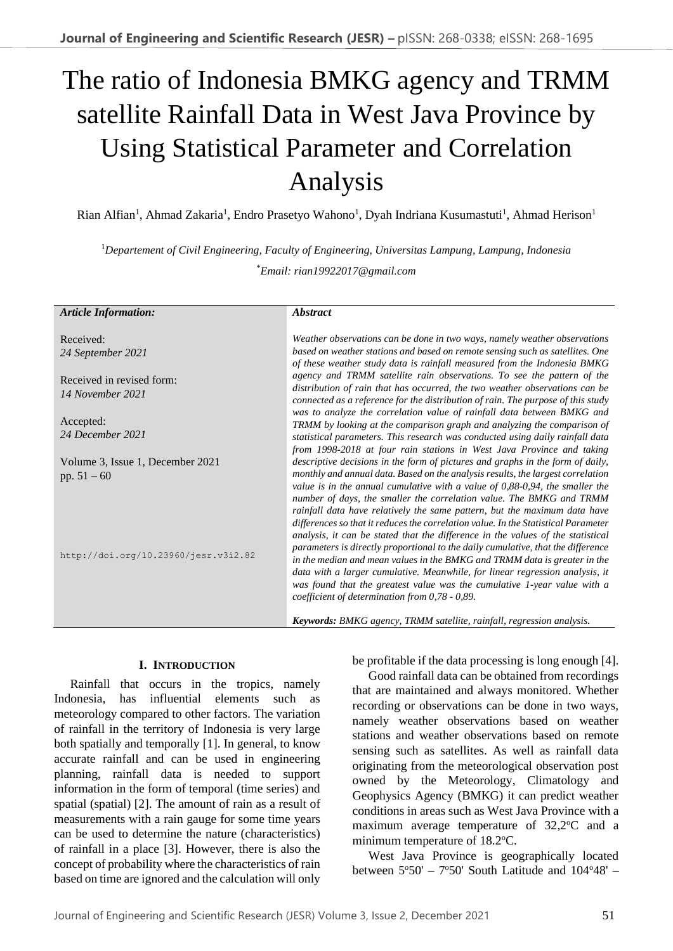# The ratio of Indonesia BMKG agency and TRMM satellite Rainfall Data in West Java Province by Using Statistical Parameter and Correlation Analysis

Rian Alfian<sup>1</sup>, Ahmad Zakaria<sup>1</sup>, Endro Prasetyo Wahono<sup>1</sup>, Dyah Indriana Kusumastuti<sup>1</sup>, Ahmad Herison<sup>1</sup>

<sup>1</sup>*Departement of Civil Engineering, Faculty of Engineering, Universitas Lampung, Lampung, Indonesia* \**Email: rian19922017@gmail.com*

| <b>Article Information:</b>                           | <b>Abstract</b>                                                                                                                                                                                                                                                                                                                                                                                                                                                                                                                                                                                                                                                                                                                                                                                                                                                                 |
|-------------------------------------------------------|---------------------------------------------------------------------------------------------------------------------------------------------------------------------------------------------------------------------------------------------------------------------------------------------------------------------------------------------------------------------------------------------------------------------------------------------------------------------------------------------------------------------------------------------------------------------------------------------------------------------------------------------------------------------------------------------------------------------------------------------------------------------------------------------------------------------------------------------------------------------------------|
| Received:                                             | Weather observations can be done in two ways, namely weather observations                                                                                                                                                                                                                                                                                                                                                                                                                                                                                                                                                                                                                                                                                                                                                                                                       |
| 24 September 2021                                     | based on weather stations and based on remote sensing such as satellites. One<br>of these weather study data is rainfall measured from the Indonesia BMKG                                                                                                                                                                                                                                                                                                                                                                                                                                                                                                                                                                                                                                                                                                                       |
| Received in revised form:                             | agency and TRMM satellite rain observations. To see the pattern of the<br>distribution of rain that has occurred, the two weather observations can be                                                                                                                                                                                                                                                                                                                                                                                                                                                                                                                                                                                                                                                                                                                           |
| 14 November 2021                                      | connected as a reference for the distribution of rain. The purpose of this study                                                                                                                                                                                                                                                                                                                                                                                                                                                                                                                                                                                                                                                                                                                                                                                                |
| Accepted:                                             | was to analyze the correlation value of rainfall data between BMKG and<br>TRMM by looking at the comparison graph and analyzing the comparison of                                                                                                                                                                                                                                                                                                                                                                                                                                                                                                                                                                                                                                                                                                                               |
| 24 December 2021                                      | statistical parameters. This research was conducted using daily rainfall data<br>from 1998-2018 at four rain stations in West Java Province and taking                                                                                                                                                                                                                                                                                                                                                                                                                                                                                                                                                                                                                                                                                                                          |
| Volume 3, Issue 1, December 2021                      | descriptive decisions in the form of pictures and graphs in the form of daily,                                                                                                                                                                                                                                                                                                                                                                                                                                                                                                                                                                                                                                                                                                                                                                                                  |
| pp. $51 - 60$<br>http://doi.org/10.23960/jesr.v3i2.82 | monthly and annual data. Based on the analysis results, the largest correlation<br>value is in the annual cumulative with a value of $0,88-0,94$ , the smaller the<br>number of days, the smaller the correlation value. The BMKG and TRMM<br>rainfall data have relatively the same pattern, but the maximum data have<br>differences so that it reduces the correlation value. In the Statistical Parameter<br>analysis, it can be stated that the difference in the values of the statistical<br>parameters is directly proportional to the daily cumulative, that the difference<br>in the median and mean values in the BMKG and TRMM data is greater in the<br>data with a larger cumulative. Meanwhile, for linear regression analysis, it<br>was found that the greatest value was the cumulative 1-year value with a<br>coefficient of determination from 0,78 - 0,89. |
|                                                       | Keywords: BMKG agency, TRMM satellite, rainfall, regression analysis.                                                                                                                                                                                                                                                                                                                                                                                                                                                                                                                                                                                                                                                                                                                                                                                                           |

## **I. INTRODUCTION**

Rainfall that occurs in the tropics, namely Indonesia, has influential elements such as meteorology compared to other factors. The variation of rainfall in the territory of Indonesia is very large both spatially and temporally [1]. In general, to know accurate rainfall and can be used in engineering planning, rainfall data is needed to support information in the form of temporal (time series) and spatial (spatial) [2]. The amount of rain as a result of measurements with a rain gauge for some time years can be used to determine the nature (characteristics) of rainfall in a place [3]. However, there is also the concept of probability where the characteristics of rain based on time are ignored and the calculation will only be profitable if the data processing is long enough [4].

Good rainfall data can be obtained from recordings that are maintained and always monitored. Whether recording or observations can be done in two ways, namely weather observations based on weather stations and weather observations based on remote sensing such as satellites. As well as rainfall data originating from the meteorological observation post owned by the Meteorology, Climatology and Geophysics Agency (BMKG) it can predict weather conditions in areas such as West Java Province with a maximum average temperature of  $32,2$ °C and a minimum temperature of 18.2 °C.

West Java Province is geographically located between  $5^{\circ}50' - 7^{\circ}50'$  South Latitude and  $104^{\circ}48'$  -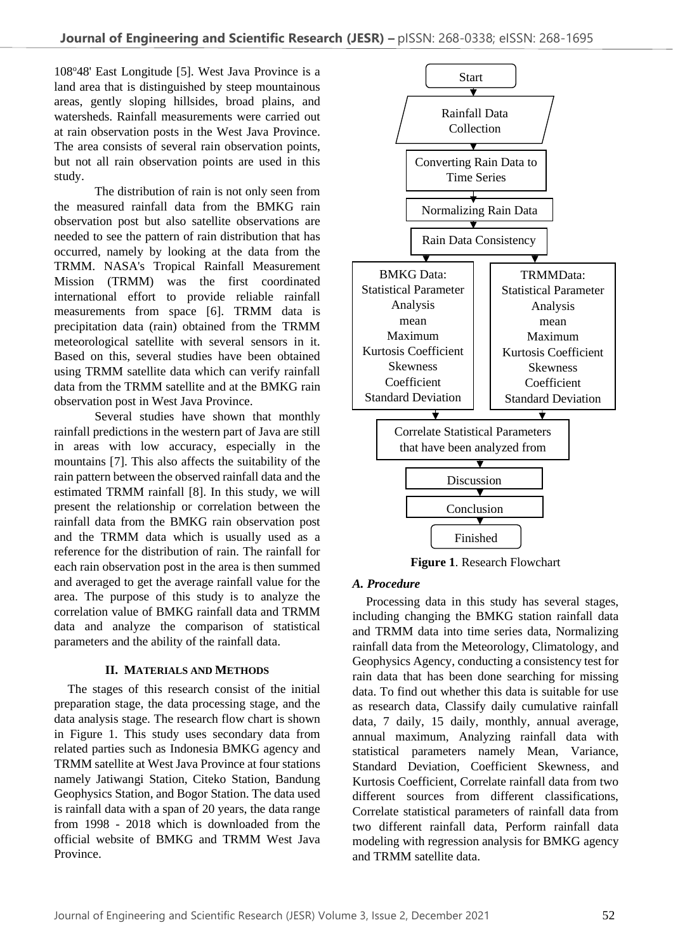108°48' East Longitude [5]. West Java Province is a land area that is distinguished by steep mountainous areas, gently sloping hillsides, broad plains, and watersheds. Rainfall measurements were carried out at rain observation posts in the West Java Province. The area consists of several rain observation points, but not all rain observation points are used in this study.

The distribution of rain is not only seen from the measured rainfall data from the BMKG rain observation post but also satellite observations are needed to see the pattern of rain distribution that has occurred, namely by looking at the data from the TRMM. NASA's Tropical Rainfall Measurement Mission (TRMM) was the first coordinated international effort to provide reliable rainfall measurements from space [6]. TRMM data is precipitation data (rain) obtained from the TRMM meteorological satellite with several sensors in it. Based on this, several studies have been obtained using TRMM satellite data which can verify rainfall data from the TRMM satellite and at the BMKG rain observation post in West Java Province.

Several studies have shown that monthly rainfall predictions in the western part of Java are still in areas with low accuracy, especially in the mountains [7]. This also affects the suitability of the rain pattern between the observed rainfall data and the estimated TRMM rainfall [8]. In this study, we will present the relationship or correlation between the rainfall data from the BMKG rain observation post and the TRMM data which is usually used as a reference for the distribution of rain. The rainfall for each rain observation post in the area is then summed and averaged to get the average rainfall value for the area. The purpose of this study is to analyze the correlation value of BMKG rainfall data and TRMM data and analyze the comparison of statistical parameters and the ability of the rainfall data.

## **II. MATERIALS AND METHODS**

The stages of this research consist of the initial preparation stage, the data processing stage, and the data analysis stage. The research flow chart is shown in Figure 1. This study uses secondary data from related parties such as Indonesia BMKG agency and TRMM satellite at West Java Province at four stations namely Jatiwangi Station, Citeko Station, Bandung Geophysics Station, and Bogor Station. The data used is rainfall data with a span of 20 years, the data range from 1998 - 2018 which is downloaded from the official website of BMKG and TRMM West Java Province.



**Figure 1**. Research Flowchart

## *A. Procedure*

Processing data in this study has several stages, including changing the BMKG station rainfall data and TRMM data into time series data, Normalizing rainfall data from the Meteorology, Climatology, and Geophysics Agency, conducting a consistency test for rain data that has been done searching for missing data. To find out whether this data is suitable for use as research data, Classify daily cumulative rainfall data, 7 daily, 15 daily, monthly, annual average, annual maximum, Analyzing rainfall data with statistical parameters namely Mean, Variance, Standard Deviation, Coefficient Skewness, and Kurtosis Coefficient, Correlate rainfall data from two different sources from different classifications, Correlate statistical parameters of rainfall data from two different rainfall data, Perform rainfall data modeling with regression analysis for BMKG agency and TRMM satellite data.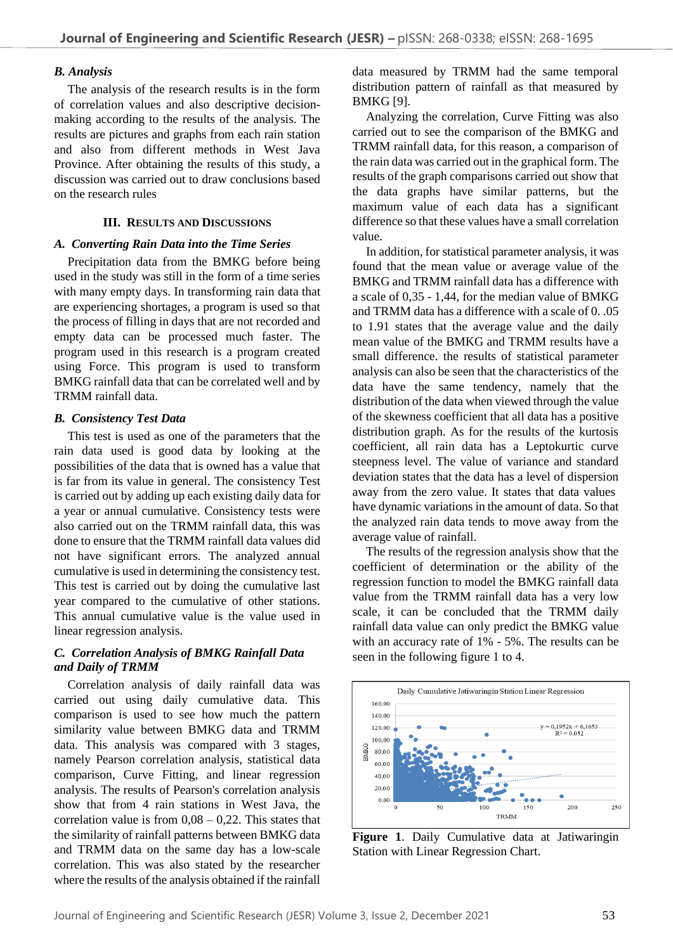# *B. Analysis*

The analysis of the research results is in the form of correlation values and also descriptive decisionmaking according to the results of the analysis. The results are pictures and graphs from each rain station and also from different methods in West Java Province. After obtaining the results of this study, a discussion was carried out to draw conclusions based on the research rules

## **III. RESULTS AND DISCUSSIONS**

# *A. Converting Rain Data into the Time Series*

Precipitation data from the BMKG before being used in the study was still in the form of a time series with many empty days. In transforming rain data that are experiencing shortages, a program is used so that the process of filling in days that are not recorded and empty data can be processed much faster. The program used in this research is a program created using Force. This program is used to transform BMKG rainfall data that can be correlated well and by TRMM rainfall data.

# *B. Consistency Test Data*

This test is used as one of the parameters that the rain data used is good data by looking at the possibilities of the data that is owned has a value that is far from its value in general. The consistency Test is carried out by adding up each existing daily data for a year or annual cumulative. Consistency tests were also carried out on the TRMM rainfall data, this was done to ensure that the TRMM rainfall data values did not have significant errors. The analyzed annual cumulative is used in determining the consistency test. This test is carried out by doing the cumulative last year compared to the cumulative of other stations. This annual cumulative value is the value used in linear regression analysis.

# *C. Correlation Analysis of BMKG Rainfall Data and Daily of TRMM*

Correlation analysis of daily rainfall data was carried out using daily cumulative data. This comparison is used to see how much the pattern similarity value between BMKG data and TRMM data. This analysis was compared with 3 stages, namely Pearson correlation analysis, statistical data comparison, Curve Fitting, and linear regression analysis. The results of Pearson's correlation analysis show that from 4 rain stations in West Java, the correlation value is from  $0.08 - 0.22$ . This states that the similarity of rainfall patterns between BMKG data and TRMM data on the same day has a low-scale correlation. This was also stated by the researcher where the results of the analysis obtained if the rainfall

data measured by TRMM had the same temporal distribution pattern of rainfall as that measured by BMKG [9].

Analyzing the correlation, Curve Fitting was also carried out to see the comparison of the BMKG and TRMM rainfall data, for this reason, a comparison of the rain data was carried out in the graphical form. The results of the graph comparisons carried out show that the data graphs have similar patterns, but the maximum value of each data has a significant difference so that these values have a small correlation value.

In addition, for statistical parameter analysis, it was found that the mean value or average value of the BMKG and TRMM rainfall data has a difference with a scale of 0,35 - 1,44, for the median value of BMKG and TRMM data has a difference with a scale of 0. .05 to 1.91 states that the average value and the daily mean value of the BMKG and TRMM results have a small difference. the results of statistical parameter analysis can also be seen that the characteristics of the data have the same tendency, namely that the distribution of the data when viewed through the value of the skewness coefficient that all data has a positive distribution graph. As for the results of the kurtosis coefficient, all rain data has a Leptokurtic curve steepness level. The value of variance and standard deviation states that the data has a level of dispersion away from the zero value. It states that data values have dynamic variations in the amount of data. So that the analyzed rain data tends to move away from the average value of rainfall.

The results of the regression analysis show that the coefficient of determination or the ability of the regression function to model the BMKG rainfall data value from the TRMM rainfall data has a very low scale, it can be concluded that the TRMM daily rainfall data value can only predict the BMKG value with an accuracy rate of 1% - 5%. The results can be seen in the following figure 1 to 4.



**Figure 1**. Daily Cumulative data at Jatiwaringin Station with Linear Regression Chart.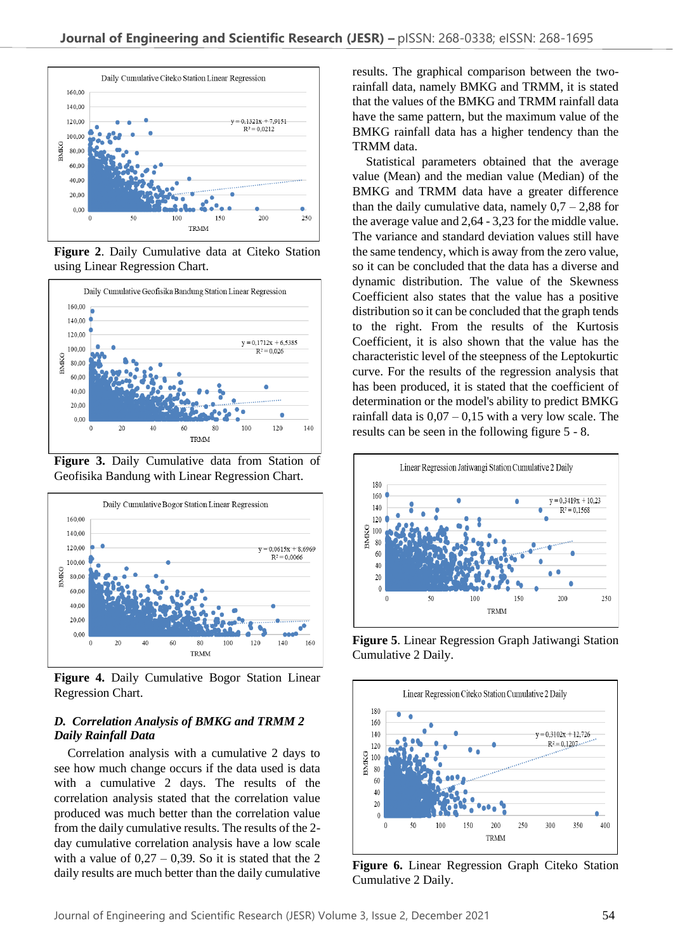

**Figure 2**. Daily Cumulative data at Citeko Station using Linear Regression Chart.



**Figure 3.** Daily Cumulative data from Station of Geofisika Bandung with Linear Regression Chart.



**Figure 4.** Daily Cumulative Bogor Station Linear Regression Chart.

## *D. Correlation Analysis of BMKG and TRMM 2 Daily Rainfall Data*

Correlation analysis with a cumulative 2 days to see how much change occurs if the data used is data with a cumulative 2 days. The results of the correlation analysis stated that the correlation value produced was much better than the correlation value from the daily cumulative results. The results of the 2 day cumulative correlation analysis have a low scale with a value of  $0.27 - 0.39$ . So it is stated that the 2 daily results are much better than the daily cumulative

results. The graphical comparison between the tworainfall data, namely BMKG and TRMM, it is stated that the values of the BMKG and TRMM rainfall data have the same pattern, but the maximum value of the BMKG rainfall data has a higher tendency than the TRMM data.

Statistical parameters obtained that the average value (Mean) and the median value (Median) of the BMKG and TRMM data have a greater difference than the daily cumulative data, namely  $0.7 - 2.88$  for the average value and 2,64 - 3,23 for the middle value. The variance and standard deviation values still have the same tendency, which is away from the zero value, so it can be concluded that the data has a diverse and dynamic distribution. The value of the Skewness Coefficient also states that the value has a positive distribution so it can be concluded that the graph tends to the right. From the results of the Kurtosis Coefficient, it is also shown that the value has the characteristic level of the steepness of the Leptokurtic curve. For the results of the regression analysis that has been produced, it is stated that the coefficient of determination or the model's ability to predict BMKG rainfall data is  $0.07 - 0.15$  with a very low scale. The results can be seen in the following figure 5 - 8.



**Figure 5**. Linear Regression Graph Jatiwangi Station Cumulative 2 Daily.



**Figure 6.** Linear Regression Graph Citeko Station Cumulative 2 Daily.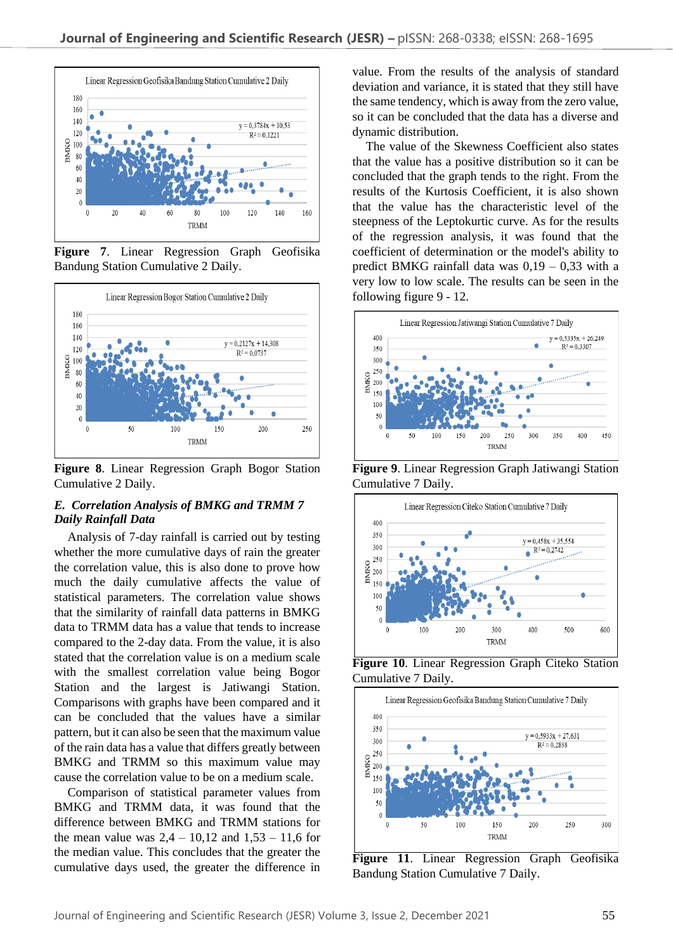

**Figure 7**. Linear Regression Graph Geofisika Bandung Station Cumulative 2 Daily.



**Figure 8**. Linear Regression Graph Bogor Station Cumulative 2 Daily.

## *E. Correlation Analysis of BMKG and TRMM 7 Daily Rainfall Data*

Analysis of 7-day rainfall is carried out by testing whether the more cumulative days of rain the greater the correlation value, this is also done to prove how much the daily cumulative affects the value of statistical parameters. The correlation value shows that the similarity of rainfall data patterns in BMKG data to TRMM data has a value that tends to increase compared to the 2-day data. From the value, it is also stated that the correlation value is on a medium scale with the smallest correlation value being Bogor Station and the largest is Jatiwangi Station. Comparisons with graphs have been compared and it can be concluded that the values have a similar pattern, but it can also be seen that the maximum value of the rain data has a value that differs greatly between BMKG and TRMM so this maximum value may cause the correlation value to be on a medium scale.

Comparison of statistical parameter values from BMKG and TRMM data, it was found that the difference between BMKG and TRMM stations for the mean value was  $2,4 - 10,12$  and  $1,53 - 11,6$  for the median value. This concludes that the greater the cumulative days used, the greater the difference in

value. From the results of the analysis of standard deviation and variance, it is stated that they still have the same tendency, which is away from the zero value, so it can be concluded that the data has a diverse and dynamic distribution.

The value of the Skewness Coefficient also states that the value has a positive distribution so it can be concluded that the graph tends to the right. From the results of the Kurtosis Coefficient, it is also shown that the value has the characteristic level of the steepness of the Leptokurtic curve. As for the results of the regression analysis, it was found that the coefficient of determination or the model's ability to predict BMKG rainfall data was  $0,19 - 0,33$  with a very low to low scale. The results can be seen in the following figure 9 - 12.



**Figure 9**. Linear Regression Graph Jatiwangi Station Cumulative 7 Daily.



**Figure 10**. Linear Regression Graph Citeko Station Cumulative 7 Daily.



**Figure 11**. Linear Regression Graph Geofisika Bandung Station Cumulative 7 Daily.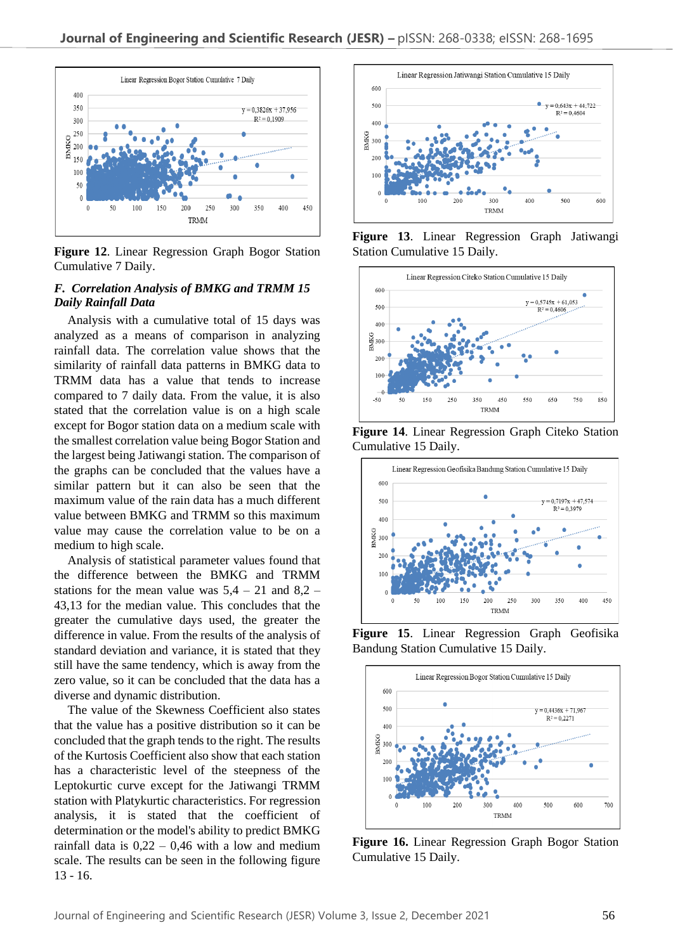

**Figure 12**. Linear Regression Graph Bogor Station Cumulative 7 Daily.

# *F. Correlation Analysis of BMKG and TRMM 15 Daily Rainfall Data*

Analysis with a cumulative total of 15 days was analyzed as a means of comparison in analyzing rainfall data. The correlation value shows that the similarity of rainfall data patterns in BMKG data to TRMM data has a value that tends to increase compared to 7 daily data. From the value, it is also stated that the correlation value is on a high scale except for Bogor station data on a medium scale with the smallest correlation value being Bogor Station and the largest being Jatiwangi station. The comparison of the graphs can be concluded that the values have a similar pattern but it can also be seen that the maximum value of the rain data has a much different value between BMKG and TRMM so this maximum value may cause the correlation value to be on a medium to high scale.

Analysis of statistical parameter values found that the difference between the BMKG and TRMM stations for the mean value was  $5.4 - 21$  and  $8.2 -$ 43,13 for the median value. This concludes that the greater the cumulative days used, the greater the difference in value. From the results of the analysis of standard deviation and variance, it is stated that they still have the same tendency, which is away from the zero value, so it can be concluded that the data has a diverse and dynamic distribution.

The value of the Skewness Coefficient also states that the value has a positive distribution so it can be concluded that the graph tends to the right. The results of the Kurtosis Coefficient also show that each station has a characteristic level of the steepness of the Leptokurtic curve except for the Jatiwangi TRMM station with Platykurtic characteristics. For regression analysis, it is stated that the coefficient of determination or the model's ability to predict BMKG rainfall data is  $0,22 - 0,46$  with a low and medium scale. The results can be seen in the following figure 13 - 16.



**Figure 13**. Linear Regression Graph Jatiwangi Station Cumulative 15 Daily.



**Figure 14**. Linear Regression Graph Citeko Station Cumulative 15 Daily.



**Figure 15**. Linear Regression Graph Geofisika Bandung Station Cumulative 15 Daily.



**Figure 16.** Linear Regression Graph Bogor Station Cumulative 15 Daily.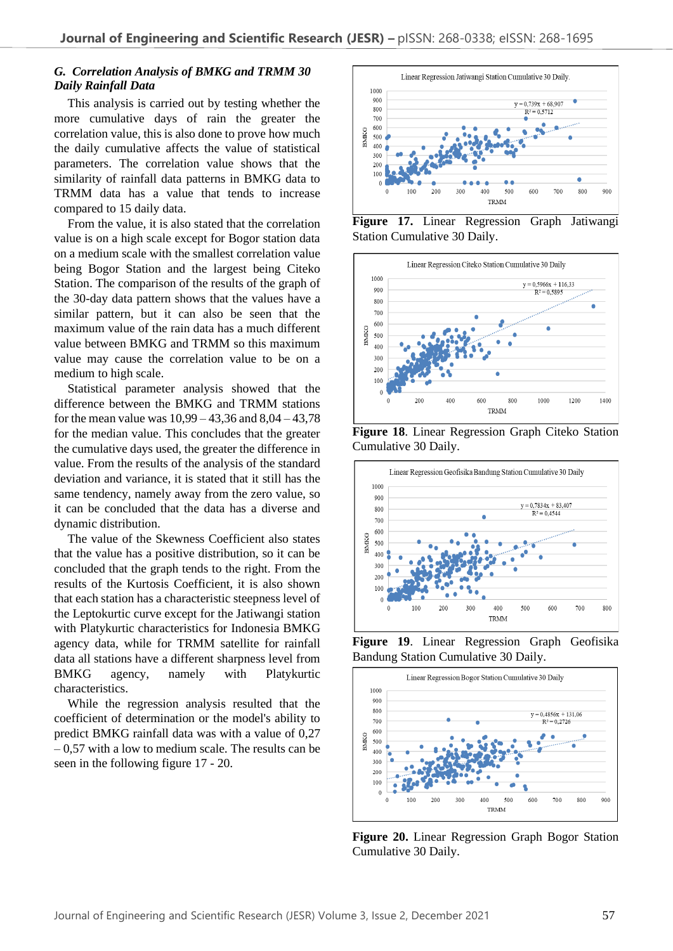# *G. Correlation Analysis of BMKG and TRMM 30 Daily Rainfall Data*

This analysis is carried out by testing whether the more cumulative days of rain the greater the correlation value, this is also done to prove how much the daily cumulative affects the value of statistical parameters. The correlation value shows that the similarity of rainfall data patterns in BMKG data to TRMM data has a value that tends to increase compared to 15 daily data.

From the value, it is also stated that the correlation value is on a high scale except for Bogor station data on a medium scale with the smallest correlation value being Bogor Station and the largest being Citeko Station. The comparison of the results of the graph of the 30-day data pattern shows that the values have a similar pattern, but it can also be seen that the maximum value of the rain data has a much different value between BMKG and TRMM so this maximum value may cause the correlation value to be on a medium to high scale.

Statistical parameter analysis showed that the difference between the BMKG and TRMM stations for the mean value was 10,99 – 43,36 and 8,04 – 43,78 for the median value. This concludes that the greater the cumulative days used, the greater the difference in value. From the results of the analysis of the standard deviation and variance, it is stated that it still has the same tendency, namely away from the zero value, so it can be concluded that the data has a diverse and dynamic distribution.

The value of the Skewness Coefficient also states that the value has a positive distribution, so it can be concluded that the graph tends to the right. From the results of the Kurtosis Coefficient, it is also shown that each station has a characteristic steepness level of the Leptokurtic curve except for the Jatiwangi station with Platykurtic characteristics for Indonesia BMKG agency data, while for TRMM satellite for rainfall data all stations have a different sharpness level from BMKG agency, namely with Platykurtic characteristics.

While the regression analysis resulted that the coefficient of determination or the model's ability to predict BMKG rainfall data was with a value of 0,27  $-0.57$  with a low to medium scale. The results can be seen in the following figure 17 - 20.



**Figure 17.** Linear Regression Graph Jatiwangi Station Cumulative 30 Daily.







**Figure 19**. Linear Regression Graph Geofisika Bandung Station Cumulative 30 Daily.



**Figure 20.** Linear Regression Graph Bogor Station Cumulative 30 Daily.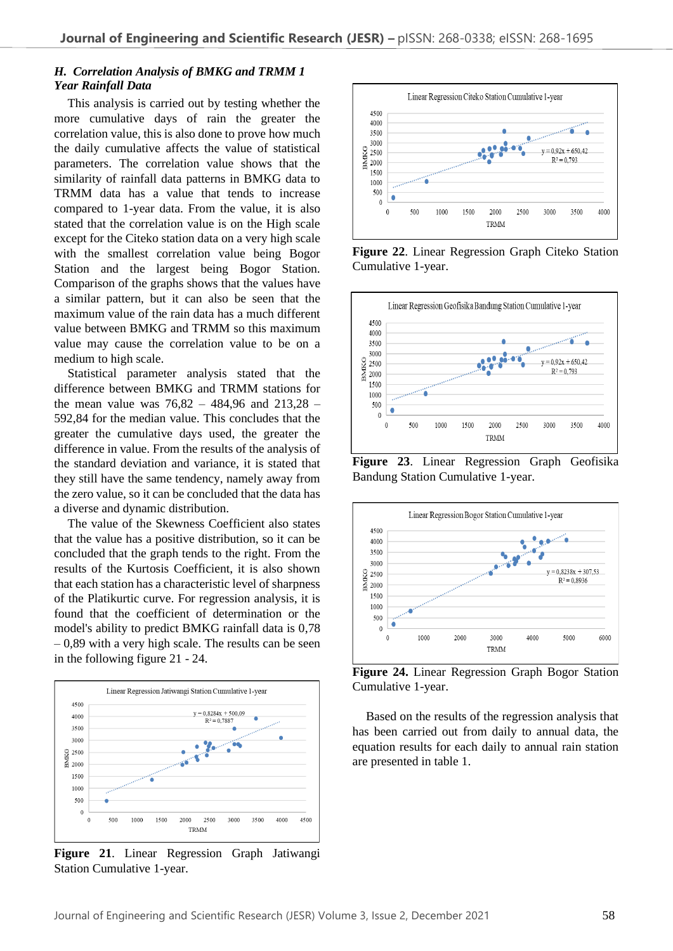#### *H. Correlation Analysis of BMKG and TRMM 1 Year Rainfall Data*

This analysis is carried out by testing whether the more cumulative days of rain the greater the correlation value, this is also done to prove how much the daily cumulative affects the value of statistical parameters. The correlation value shows that the similarity of rainfall data patterns in BMKG data to TRMM data has a value that tends to increase compared to 1-year data. From the value, it is also stated that the correlation value is on the High scale except for the Citeko station data on a very high scale with the smallest correlation value being Bogor Station and the largest being Bogor Station. Comparison of the graphs shows that the values have a similar pattern, but it can also be seen that the maximum value of the rain data has a much different value between BMKG and TRMM so this maximum value may cause the correlation value to be on a medium to high scale.

Statistical parameter analysis stated that the difference between BMKG and TRMM stations for the mean value was 76,82 – 484,96 and 213,28 – 592,84 for the median value. This concludes that the greater the cumulative days used, the greater the difference in value. From the results of the analysis of the standard deviation and variance, it is stated that they still have the same tendency, namely away from the zero value, so it can be concluded that the data has a diverse and dynamic distribution.

The value of the Skewness Coefficient also states that the value has a positive distribution, so it can be concluded that the graph tends to the right. From the results of the Kurtosis Coefficient, it is also shown that each station has a characteristic level of sharpness of the Platikurtic curve. For regression analysis, it is found that the coefficient of determination or the model's ability to predict BMKG rainfall data is 0,78  $-0.89$  with a very high scale. The results can be seen in the following figure 21 - 24.



**Figure 21**. Linear Regression Graph Jatiwangi Station Cumulative 1-year.



**Figure 22**. Linear Regression Graph Citeko Station Cumulative 1-year.



**Figure 23**. Linear Regression Graph Geofisika Bandung Station Cumulative 1-year.



**Figure 24.** Linear Regression Graph Bogor Station Cumulative 1-year.

Based on the results of the regression analysis that has been carried out from daily to annual data, the equation results for each daily to annual rain station are presented in table 1.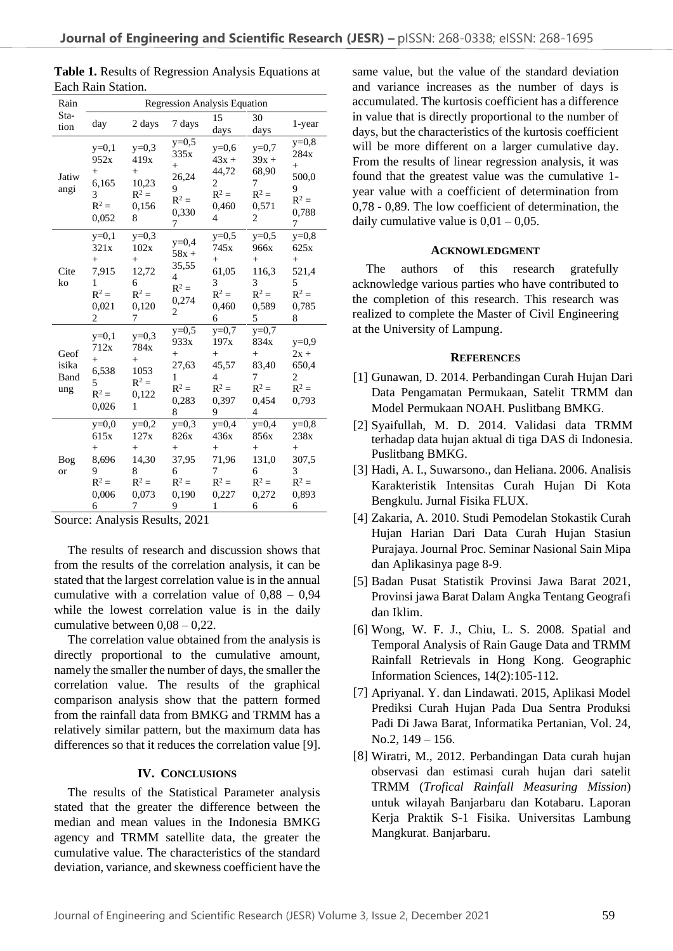| Rain                         | <b>Regression Analysis Equation</b>                              |                                                                    |                                                                  |                                                                        |                                                                  |                                                                  |  |
|------------------------------|------------------------------------------------------------------|--------------------------------------------------------------------|------------------------------------------------------------------|------------------------------------------------------------------------|------------------------------------------------------------------|------------------------------------------------------------------|--|
| Sta-<br>tion                 | day                                                              | 2 days                                                             | 7 days                                                           | 15<br>days                                                             | 30<br>days                                                       | 1-year                                                           |  |
| Jatiw<br>angi                | $y=0,1$<br>952x<br>$^{+}$<br>6,165<br>3<br>$R^2 =$<br>0,052      | $y=0,3$<br>419x<br>$+$<br>10,23<br>$R^2 =$<br>0,156<br>8           | $y=0,5$<br>335x<br>$^{+}$<br>26,24<br>9<br>$R^2 =$<br>0,330<br>7 | $y=0,6$<br>$43x +$<br>44,72<br>$\overline{c}$<br>$R^2 =$<br>0,460<br>4 | $y=0,7$<br>$39x +$<br>68,90<br>7<br>$R^2 =$<br>0,571<br>2        | $y=0,8$<br>284x<br>$^{+}$<br>500,0<br>9<br>$R^2 =$<br>0,788<br>7 |  |
| Cite<br>ko                   | $y=0,1$<br>321x<br>$^{+}$<br>7,915<br>1<br>$R^2 =$<br>0,021<br>2 | $y=0,3$<br>102x<br>$+$<br>12,72<br>6<br>$R^2 =$<br>0,120<br>7      | $y=0,4$<br>$58x +$<br>35,55<br>4<br>$R^2 =$<br>0,274<br>2        | $y=0,5$<br>745x<br>$+$<br>61,05<br>3<br>$R^2 =$<br>0,460<br>6          | $y=0,5$<br>966x<br>$^{+}$<br>116,3<br>3<br>$R^2 =$<br>0.589<br>5 | $v=0.8$<br>625x<br>$+$<br>521,4<br>5<br>$R^2 =$<br>0,785<br>8    |  |
| Geof<br>isika<br>Band<br>ung | $y=0,1$<br>712x<br>$^{+}$<br>6,538<br>5<br>$R^2 =$<br>0,026      | $y=0,3$<br>784x<br>$+$<br>1053<br>$R^2 =$<br>0,122<br>$\mathbf{1}$ | $y=0,5$<br>933x<br>$^{+}$<br>27,63<br>1<br>$R^2 =$<br>0,283<br>8 | $y=0,7$<br>197x<br>$+$<br>45,57<br>4<br>$R^2 =$<br>0,397<br>9          | $y=0,7$<br>834x<br>$^{+}$<br>83,40<br>7<br>$R^2 =$<br>0,454<br>4 | $y=0,9$<br>$2x +$<br>650,4<br>2<br>$R^2 =$<br>0,793              |  |
| Bog<br><b>or</b>             | $y=0,0$<br>615x<br>$^{+}$<br>8,696<br>9<br>$R^2 =$<br>0,006<br>6 | $y=0,2$<br>127x<br>$^{+}$<br>14,30<br>8<br>$R^2 =$<br>0,073<br>7   | $y=0,3$<br>826x<br>$^{+}$<br>37,95<br>6<br>$R^2 =$<br>0,190<br>9 | $y=0,4$<br>436x<br>$^{+}$<br>71,96<br>7<br>$R^2 =$<br>0,227<br>1       | $y=0,4$<br>856x<br>$^{+}$<br>131,0<br>6<br>$R^2 =$<br>0,272<br>6 | $y=0,8$<br>238x<br>$^{+}$<br>307,5<br>3<br>$R^2 =$<br>0,893<br>6 |  |

Table 1. Results of Regression Analysis Equations at Each Rain Station.

Source: Analysis Results, 2021

The results of research and discussion shows that from the results of the correlation analysis, it can be stated that the largest correlation value is in the annual cumulative with a correlation value of 0,88 – 0,94 while the lowest correlation value is in the daily cumulative between 0,08 – 0,22.

The correlation value obtained from the analysis is directly proportional to the cumulative amount, namely the smaller the number of days, the smaller the correlation value. The results of the graphical comparison analysis show that the pattern formed from the rainfall data from BMKG and TRMM has a relatively similar pattern, but the maximum data has differences so that it reduces the correlation value [9].

#### **IV. CONCLUSIONS**

The results of the Statistical Parameter analysis stated that the greater the difference between the median and mean values in the Indonesia BMKG agency and TRMM satellite data, the greater the cumulative value. The characteristics of the standard deviation, variance, and skewness coefficient have the same value, but the value of the standard deviation and variance increases as the number of days is accumulated. The kurtosis coefficient has a difference in value that is directly proportional to the number of days, but the characteristics of the kurtosis coefficient will be more different on a larger cumulative day. From the results of linear regression analysis, it was found that the greatest value was the cumulative 1 year value with a coefficient of determination from 0,78 - 0,89. The low coefficient of determination, the daily cumulative value is  $0.01 - 0.05$ .

#### **ACKNOWLEDGMENT**

The authors of this research gratefully acknowledge various parties who have contributed to the completion of this research. This research was realized to complete the Master of Civil Engineering at the University of Lampung.

#### **REFERENCES**

- [1] Gunawan, D. 2014. Perbandingan Curah Hujan Dari Data Pengamatan Permukaan, Satelit TRMM dan Model Permukaan NOAH. Puslitbang BMKG.
- [2] Syaifullah, M. D. 2014. Validasi data TRMM terhadap data hujan aktual di tiga DAS di Indonesia. Puslitbang BMKG.
- [3] Hadi, A. I., Suwarsono., dan Heliana. 2006. Analisis Karakteristik Intensitas Curah Hujan Di Kota Bengkulu. Jurnal Fisika FLUX.
- [4] Zakaria, A. 2010. [Studi Pemodelan Stokastik Curah](https://scholar.google.co.id/scholar?oi=bibs&cluster=2374130637239318415&btnI=1&hl=en) [Hujan Harian Dari Data Curah Hujan Stasiun](https://scholar.google.co.id/scholar?oi=bibs&cluster=2374130637239318415&btnI=1&hl=en)  [Purajaya.](https://scholar.google.co.id/scholar?oi=bibs&cluster=2374130637239318415&btnI=1&hl=en) Journal Proc. Seminar Nasional Sain Mipa dan Aplikasinya page 8-9.
- [5] Badan Pusat Statistik Provinsi Jawa Barat 2021, Provinsi jawa Barat Dalam Angka Tentang Geografi dan Iklim.
- [6] Wong, W. F. J., Chiu, L. S. 2008. Spatial and Temporal Analysis of Rain Gauge Data and TRMM Rainfall Retrievals in Hong Kong. Geographic Information Sciences, 14(2):105-112.
- [7] Apriyanal. Y. dan Lindawati. 2015, Aplikasi Model Prediksi Curah Hujan Pada Dua Sentra Produksi Padi Di Jawa Barat, Informatika Pertanian, Vol. 24, No.2, 149 – 156.
- [8] Wiratri, M., 2012. Perbandingan Data curah hujan observasi dan estimasi curah hujan dari satelit TRMM (*Trofical Rainfall Measuring Mission*) untuk wilayah Banjarbaru dan Kotabaru. Laporan Kerja Praktik S-1 Fisika. Universitas Lambung Mangkurat. Banjarbaru.